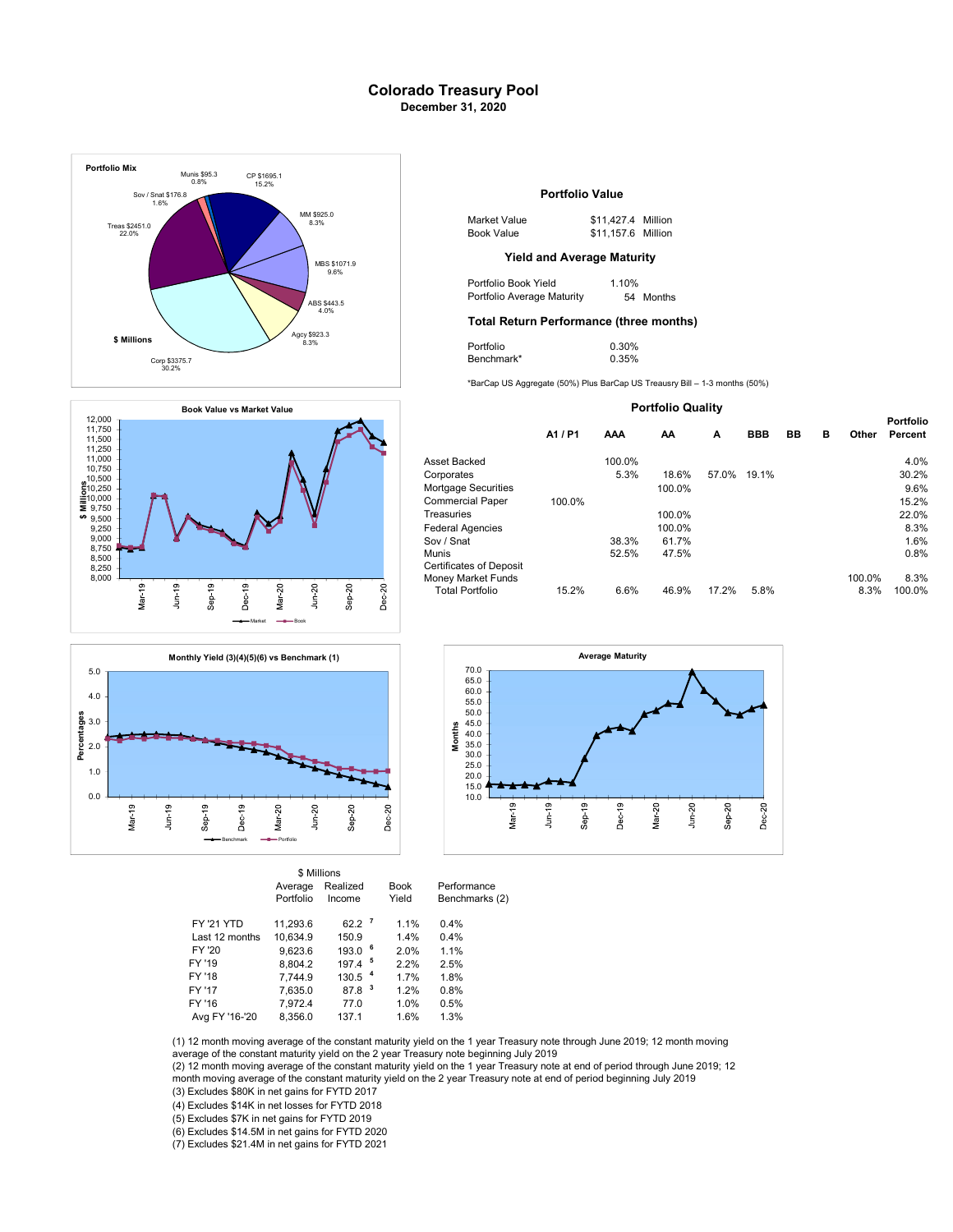# Colorado Treasury Pool December 31, 2020







|                   | Average   | Realized             |     | <b>Book</b> | Performance    |
|-------------------|-----------|----------------------|-----|-------------|----------------|
|                   | Portfolio | Income               |     | Yield       | Benchmarks (2) |
| <b>FY '21 YTD</b> | 11.293.6  | $62.2$ $^7$          |     | 1.1%        | 0.4%           |
| Last 12 months    | 10.634.9  | 150.9                |     | 1.4%        | 0.4%           |
| FY '20            | 9.623.6   | 193.0                | - 6 | 2.0%        | 1.1%           |
| FY '19            | 8.804.2   | $197.4$ <sup>5</sup> |     | 2.2%        | 2.5%           |
| FY '18            | 7.744.9   | 130.5 <sup>4</sup>   |     | 1.7%        | 1.8%           |
| FY '17            | 7.635.0   | 87.8                 | 3   | 1.2%        | 0.8%           |
| FY '16            | 7.972.4   | 77.0                 |     | 1.0%        | 0.5%           |
| Ava FY '16-'20    | 8.356.0   | 137.1                |     | 1.6%        | 1.3%           |

## Portfolio Value

| 1 S925.0<br>8.3% | Market Value      | \$11.427.4 Million |  |
|------------------|-------------------|--------------------|--|
|                  | <b>Book Value</b> | \$11,157.6 Million |  |

Portfolio Book Yield 1.10%<br>Portfolio Average Maturity 54 Months ABS \$443.5 **Portfolio Average Maturity** 54 Months

## Total Return Performance (three months)

| 8.3% | Portfolio  | 0.30% |  |
|------|------------|-------|--|
|      | Benchmark* | 0.35% |  |

\*BarCap US Aggregate (50%) Plus BarCap US Treausry Bill – 1-3 months (50%)

### Portfolio Quality

|                         |         |        |        |       |            |    |   |        | <b>Portfolio</b> |  |
|-------------------------|---------|--------|--------|-------|------------|----|---|--------|------------------|--|
|                         | A1 / P1 | AAA    | AA     | A     | <b>BBB</b> | BB | в | Other  | Percent          |  |
| Asset Backed            |         | 100.0% |        |       |            |    |   |        | 4.0%             |  |
| Corporates              |         | 5.3%   | 18.6%  | 57.0% | 19.1%      |    |   |        | 30.2%            |  |
| Mortgage Securities     |         |        | 100.0% |       |            |    |   |        | 9.6%             |  |
| Commercial Paper        | 100.0%  |        |        |       |            |    |   |        | 15.2%            |  |
| Treasuries              |         |        | 100.0% |       |            |    |   |        | 22.0%            |  |
| Federal Agencies        |         |        | 100.0% |       |            |    |   |        | 8.3%             |  |
| Sov / Snat              |         | 38.3%  | 61.7%  |       |            |    |   |        | 1.6%             |  |
| Munis                   |         | 52.5%  | 47.5%  |       |            |    |   |        | 0.8%             |  |
| Certificates of Deposit |         |        |        |       |            |    |   |        |                  |  |
| Money Market Funds      |         |        |        |       |            |    |   | 100.0% | 8.3%             |  |
| <b>Total Portfolio</b>  | 15.2%   | 6.6%   | 46.9%  | 17.2% | 5.8%       |    |   | 8.3%   | 100.0%           |  |



(1) 12 month moving average of the constant maturity yield on the 1 year Treasury note through June 2019; 12 month moving average of the constant maturity yield on the 2 year Treasury note beginning July 2019

(3) Excludes \$80K in net gains for FYTD 2017 (2) 12 month moving average of the constant maturity yield on the 1 year Treasury note at end of period through June 2019; 12 month moving average of the constant maturity yield on the 2 year Treasury note at end of period beginning July 2019

(4) Excludes \$14K in net losses for FYTD 2018

(5) Excludes \$7K in net gains for FYTD 2019 (6) Excludes \$14.5M in net gains for FYTD 2020

(7) Excludes \$21.4M in net gains for FYTD 2021